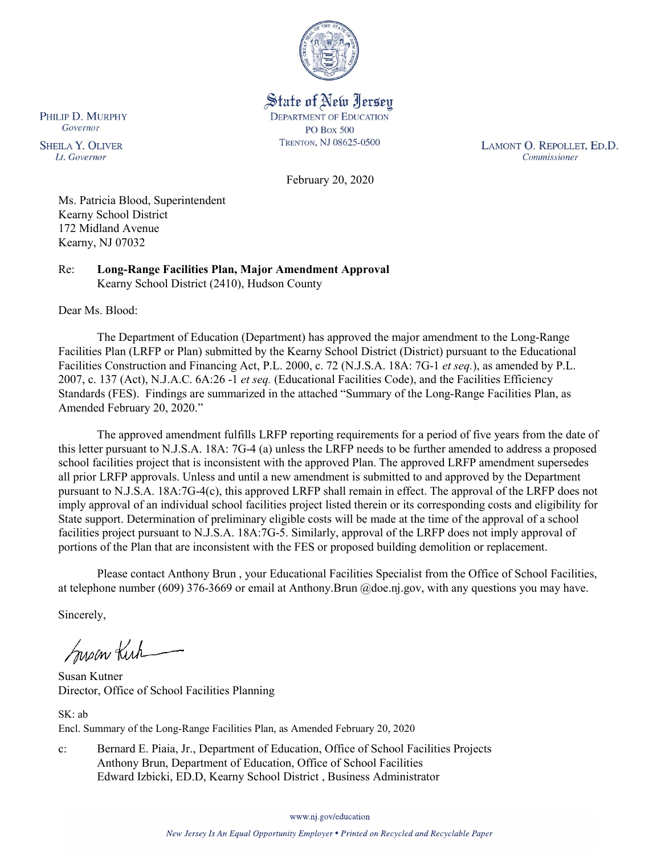

State of New Jersey **DEPARTMENT OF EDUCATION PO Box 500** TRENTON, NJ 08625-0500

LAMONT O. REPOLLET, ED.D. Commissioner

February 20, 2020

Ms. Patricia Blood, Superintendent Kearny School District 172 Midland Avenue Kearny, NJ 07032

Re: **Long-Range Facilities Plan, Major Amendment Approval** Kearny School District (2410), Hudson County

Dear Ms. Blood:

The Department of Education (Department) has approved the major amendment to the Long-Range Facilities Plan (LRFP or Plan) submitted by the Kearny School District (District) pursuant to the Educational Facilities Construction and Financing Act, P.L. 2000, c. 72 (N.J.S.A. 18A: 7G-1 *et seq.*), as amended by P.L. 2007, c. 137 (Act), N.J.A.C. 6A:26 -1 *et seq.* (Educational Facilities Code), and the Facilities Efficiency Standards (FES). Findings are summarized in the attached "Summary of the Long-Range Facilities Plan, as Amended February 20, 2020."

The approved amendment fulfills LRFP reporting requirements for a period of five years from the date of this letter pursuant to N.J.S.A. 18A: 7G-4 (a) unless the LRFP needs to be further amended to address a proposed school facilities project that is inconsistent with the approved Plan. The approved LRFP amendment supersedes all prior LRFP approvals. Unless and until a new amendment is submitted to and approved by the Department pursuant to N.J.S.A. 18A:7G-4(c), this approved LRFP shall remain in effect. The approval of the LRFP does not imply approval of an individual school facilities project listed therein or its corresponding costs and eligibility for State support. Determination of preliminary eligible costs will be made at the time of the approval of a school facilities project pursuant to N.J.S.A. 18A:7G-5. Similarly, approval of the LRFP does not imply approval of portions of the Plan that are inconsistent with the FES or proposed building demolition or replacement.

Please contact Anthony Brun , your Educational Facilities Specialist from the Office of School Facilities, at telephone number (609) 376-3669 or email at Anthony.Brun @doe.nj.gov, with any questions you may have.

Sincerely,

Susan Kich

Susan Kutner Director, Office of School Facilities Planning

SK: ab Encl. Summary of the Long-Range Facilities Plan, as Amended February 20, 2020

c: Bernard E. Piaia, Jr., Department of Education, Office of School Facilities Projects Anthony Brun, Department of Education, Office of School Facilities Edward Izbicki, ED.D, Kearny School District , Business Administrator

www.nj.gov/education

PHILIP D. MURPHY Governor

**SHEILA Y. OLIVER** Lt. Governor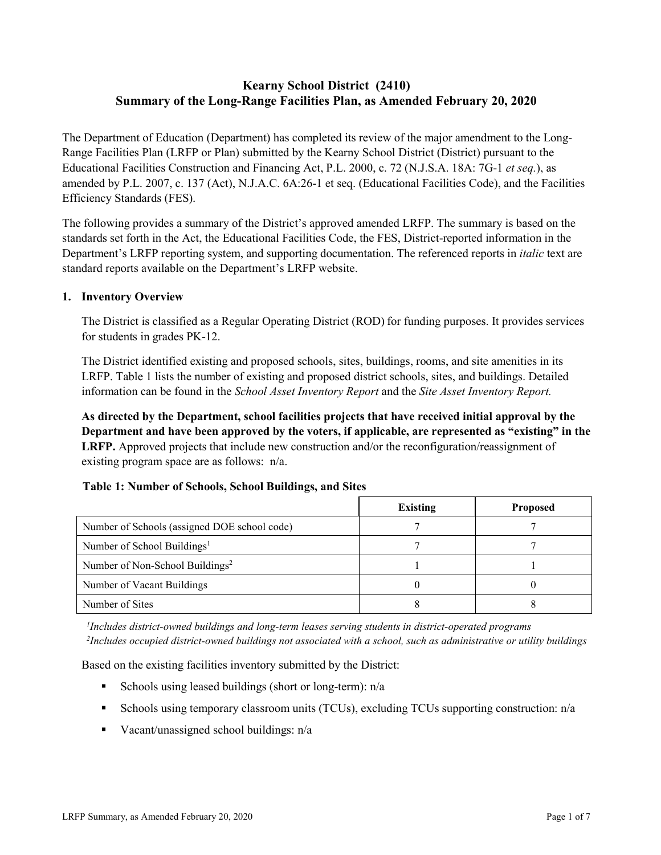# **Kearny School District (2410) Summary of the Long-Range Facilities Plan, as Amended February 20, 2020**

The Department of Education (Department) has completed its review of the major amendment to the Long-Range Facilities Plan (LRFP or Plan) submitted by the Kearny School District (District) pursuant to the Educational Facilities Construction and Financing Act, P.L. 2000, c. 72 (N.J.S.A. 18A: 7G-1 *et seq.*), as amended by P.L. 2007, c. 137 (Act), N.J.A.C. 6A:26-1 et seq. (Educational Facilities Code), and the Facilities Efficiency Standards (FES).

The following provides a summary of the District's approved amended LRFP. The summary is based on the standards set forth in the Act, the Educational Facilities Code, the FES, District-reported information in the Department's LRFP reporting system, and supporting documentation. The referenced reports in *italic* text are standard reports available on the Department's LRFP website.

### **1. Inventory Overview**

The District is classified as a Regular Operating District (ROD) for funding purposes. It provides services for students in grades PK-12.

The District identified existing and proposed schools, sites, buildings, rooms, and site amenities in its LRFP. Table 1 lists the number of existing and proposed district schools, sites, and buildings. Detailed information can be found in the *School Asset Inventory Report* and the *Site Asset Inventory Report.*

**As directed by the Department, school facilities projects that have received initial approval by the Department and have been approved by the voters, if applicable, are represented as "existing" in the LRFP.** Approved projects that include new construction and/or the reconfiguration/reassignment of existing program space are as follows: n/a.

# **Table 1: Number of Schools, School Buildings, and Sites**

|                                              | <b>Existing</b> | <b>Proposed</b> |
|----------------------------------------------|-----------------|-----------------|
| Number of Schools (assigned DOE school code) |                 |                 |
| Number of School Buildings <sup>1</sup>      |                 |                 |
| Number of Non-School Buildings <sup>2</sup>  |                 |                 |
| Number of Vacant Buildings                   |                 |                 |
| Number of Sites                              |                 |                 |

*1 Includes district-owned buildings and long-term leases serving students in district-operated programs 2 Includes occupied district-owned buildings not associated with a school, such as administrative or utility buildings*

Based on the existing facilities inventory submitted by the District:

- Schools using leased buildings (short or long-term):  $n/a$
- Schools using temporary classroom units (TCUs), excluding TCUs supporting construction: n/a
- Vacant/unassigned school buildings:  $n/a$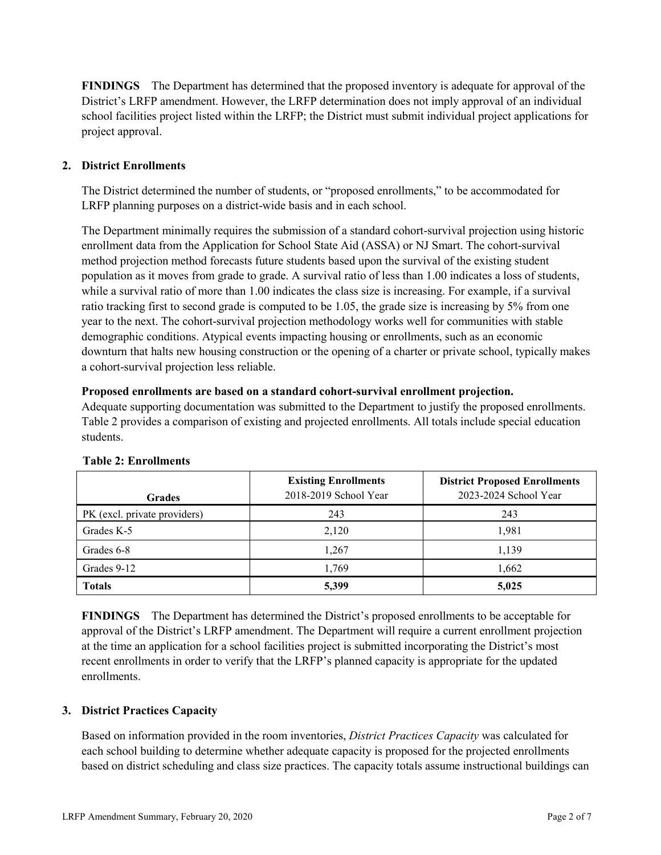**FINDINGS** The Department has determined that the proposed inventory is adequate for approval of the District's LRFP amendment. However, the LRFP determination does not imply approval of an individual school facilities project listed within the LRFP; the District must submit individual project applications for project approval.

# **2. District Enrollments**

The District determined the number of students, or "proposed enrollments," to be accommodated for LRFP planning purposes on a district-wide basis and in each school.

The Department minimally requires the submission of a standard cohort-survival projection using historic enrollment data from the Application for School State Aid (ASSA) or NJ Smart. The cohort-survival method projection method forecasts future students based upon the survival of the existing student population as it moves from grade to grade. A survival ratio of less than 1.00 indicates a loss of students, while a survival ratio of more than 1.00 indicates the class size is increasing. For example, if a survival ratio tracking first to second grade is computed to be 1.05, the grade size is increasing by 5% from one year to the next. The cohort-survival projection methodology works well for communities with stable demographic conditions. Atypical events impacting housing or enrollments, such as an economic downturn that halts new housing construction or the opening of a charter or private school, typically makes a cohort-survival projection less reliable.

#### **Proposed enrollments are based on a standard cohort-survival enrollment projection.**

Adequate supporting documentation was submitted to the Department to justify the proposed enrollments. Table 2 provides a comparison of existing and projected enrollments. All totals include special education students.

| <b>Grades</b>                | <b>Existing Enrollments</b><br>2018-2019 School Year | <b>District Proposed Enrollments</b><br>2023-2024 School Year |
|------------------------------|------------------------------------------------------|---------------------------------------------------------------|
|                              | 243                                                  | 243                                                           |
| PK (excl. private providers) |                                                      |                                                               |
| Grades K-5                   | 2,120                                                | 1,981                                                         |
| Grades 6-8                   | 1,267                                                | 1,139                                                         |
| Grades 9-12                  | 1.769                                                | 1,662                                                         |
| <b>Totals</b>                | 5,399                                                | 5,025                                                         |

#### **Table 2: Enrollments**

**FINDINGS** The Department has determined the District's proposed enrollments to be acceptable for approval of the District's LRFP amendment. The Department will require a current enrollment projection at the time an application for a school facilities project is submitted incorporating the District's most recent enrollments in order to verify that the LRFP's planned capacity is appropriate for the updated enrollments.

#### **3. District Practices Capacity**

Based on information provided in the room inventories, *District Practices Capacity* was calculated for each school building to determine whether adequate capacity is proposed for the projected enrollments based on district scheduling and class size practices. The capacity totals assume instructional buildings can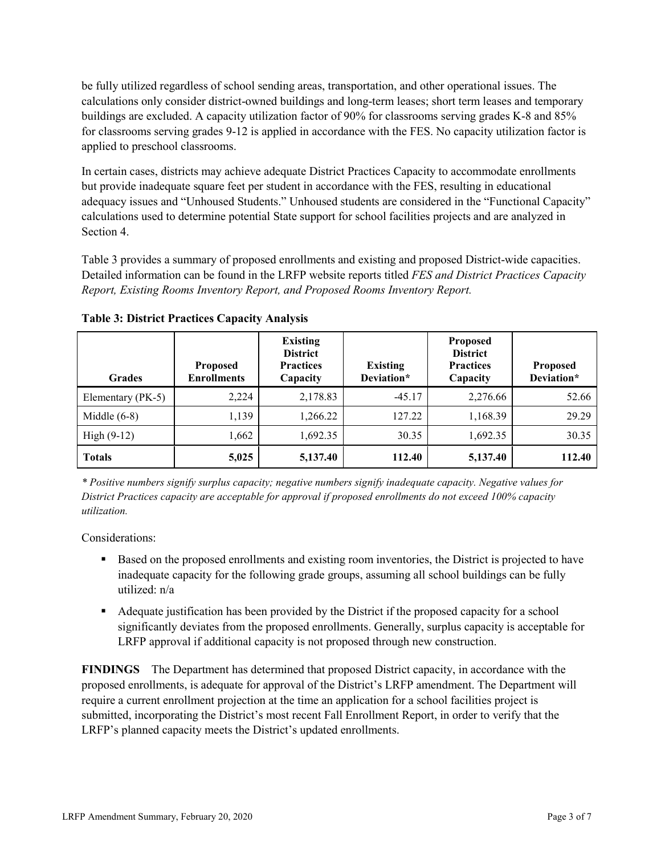be fully utilized regardless of school sending areas, transportation, and other operational issues. The calculations only consider district-owned buildings and long-term leases; short term leases and temporary buildings are excluded. A capacity utilization factor of 90% for classrooms serving grades K-8 and 85% for classrooms serving grades 9-12 is applied in accordance with the FES. No capacity utilization factor is applied to preschool classrooms.

In certain cases, districts may achieve adequate District Practices Capacity to accommodate enrollments but provide inadequate square feet per student in accordance with the FES, resulting in educational adequacy issues and "Unhoused Students." Unhoused students are considered in the "Functional Capacity" calculations used to determine potential State support for school facilities projects and are analyzed in Section 4.

Table 3 provides a summary of proposed enrollments and existing and proposed District-wide capacities. Detailed information can be found in the LRFP website reports titled *FES and District Practices Capacity Report, Existing Rooms Inventory Report, and Proposed Rooms Inventory Report.*

| <b>Grades</b>     | <b>Proposed</b><br><b>Enrollments</b> | <b>Existing</b><br><b>District</b><br><b>Practices</b><br>Capacity | <b>Existing</b><br>Deviation* | <b>Proposed</b><br><b>District</b><br><b>Practices</b><br>Capacity | <b>Proposed</b><br>Deviation* |
|-------------------|---------------------------------------|--------------------------------------------------------------------|-------------------------------|--------------------------------------------------------------------|-------------------------------|
| Elementary (PK-5) | 2,224                                 | 2,178.83                                                           | $-45.17$                      | 2,276.66                                                           | 52.66                         |
| Middle $(6-8)$    | 1,139                                 | 1,266.22                                                           | 127.22                        | 1,168.39                                                           | 29.29                         |
| High $(9-12)$     | 1,662                                 | 1,692.35                                                           | 30.35                         | 1,692.35                                                           | 30.35                         |
| <b>Totals</b>     | 5,025                                 | 5,137.40                                                           | 112.40                        | 5,137.40                                                           | 112.40                        |

**Table 3: District Practices Capacity Analysis**

*\* Positive numbers signify surplus capacity; negative numbers signify inadequate capacity. Negative values for District Practices capacity are acceptable for approval if proposed enrollments do not exceed 100% capacity utilization.*

Considerations:

- **Based on the proposed enrollments and existing room inventories, the District is projected to have** inadequate capacity for the following grade groups, assuming all school buildings can be fully utilized: n/a
- Adequate justification has been provided by the District if the proposed capacity for a school significantly deviates from the proposed enrollments. Generally, surplus capacity is acceptable for LRFP approval if additional capacity is not proposed through new construction.

**FINDINGS**The Department has determined that proposed District capacity, in accordance with the proposed enrollments, is adequate for approval of the District's LRFP amendment. The Department will require a current enrollment projection at the time an application for a school facilities project is submitted, incorporating the District's most recent Fall Enrollment Report, in order to verify that the LRFP's planned capacity meets the District's updated enrollments.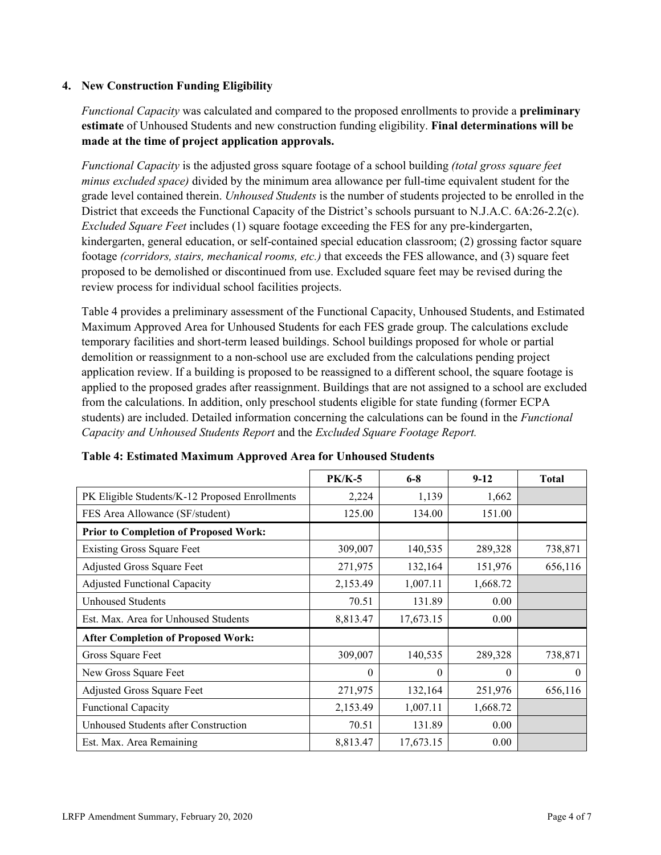### **4. New Construction Funding Eligibility**

*Functional Capacity* was calculated and compared to the proposed enrollments to provide a **preliminary estimate** of Unhoused Students and new construction funding eligibility. **Final determinations will be made at the time of project application approvals.**

*Functional Capacity* is the adjusted gross square footage of a school building *(total gross square feet minus excluded space)* divided by the minimum area allowance per full-time equivalent student for the grade level contained therein. *Unhoused Students* is the number of students projected to be enrolled in the District that exceeds the Functional Capacity of the District's schools pursuant to N.J.A.C. 6A:26-2.2(c). *Excluded Square Feet* includes (1) square footage exceeding the FES for any pre-kindergarten, kindergarten, general education, or self-contained special education classroom; (2) grossing factor square footage *(corridors, stairs, mechanical rooms, etc.)* that exceeds the FES allowance, and (3) square feet proposed to be demolished or discontinued from use. Excluded square feet may be revised during the review process for individual school facilities projects.

Table 4 provides a preliminary assessment of the Functional Capacity, Unhoused Students, and Estimated Maximum Approved Area for Unhoused Students for each FES grade group. The calculations exclude temporary facilities and short-term leased buildings. School buildings proposed for whole or partial demolition or reassignment to a non-school use are excluded from the calculations pending project application review. If a building is proposed to be reassigned to a different school, the square footage is applied to the proposed grades after reassignment. Buildings that are not assigned to a school are excluded from the calculations. In addition, only preschool students eligible for state funding (former ECPA students) are included. Detailed information concerning the calculations can be found in the *Functional Capacity and Unhoused Students Report* and the *Excluded Square Footage Report.*

|                                                | <b>PK/K-5</b> | $6 - 8$   | $9 - 12$ | <b>Total</b> |
|------------------------------------------------|---------------|-----------|----------|--------------|
| PK Eligible Students/K-12 Proposed Enrollments | 2,224         | 1,139     | 1,662    |              |
| FES Area Allowance (SF/student)                | 125.00        | 134.00    | 151.00   |              |
| <b>Prior to Completion of Proposed Work:</b>   |               |           |          |              |
| <b>Existing Gross Square Feet</b>              | 309,007       | 140,535   | 289,328  | 738,871      |
| Adjusted Gross Square Feet                     | 271,975       | 132,164   | 151,976  | 656,116      |
| <b>Adjusted Functional Capacity</b>            | 2,153.49      | 1,007.11  | 1,668.72 |              |
| Unhoused Students                              | 70.51         | 131.89    | 0.00     |              |
| Est. Max. Area for Unhoused Students           | 8,813.47      | 17,673.15 | 0.00     |              |
| <b>After Completion of Proposed Work:</b>      |               |           |          |              |
| Gross Square Feet                              | 309,007       | 140,535   | 289,328  | 738,871      |
| New Gross Square Feet                          | $\Omega$      | $\theta$  | $\theta$ | $\theta$     |
| Adjusted Gross Square Feet                     | 271,975       | 132,164   | 251,976  | 656,116      |
| Functional Capacity                            | 2,153.49      | 1,007.11  | 1,668.72 |              |
| Unhoused Students after Construction           | 70.51         | 131.89    | 0.00     |              |
| Est. Max. Area Remaining                       | 8,813.47      | 17,673.15 | 0.00     |              |

| Table 4: Estimated Maximum Approved Area for Unhoused Students |  |  |  |
|----------------------------------------------------------------|--|--|--|
|----------------------------------------------------------------|--|--|--|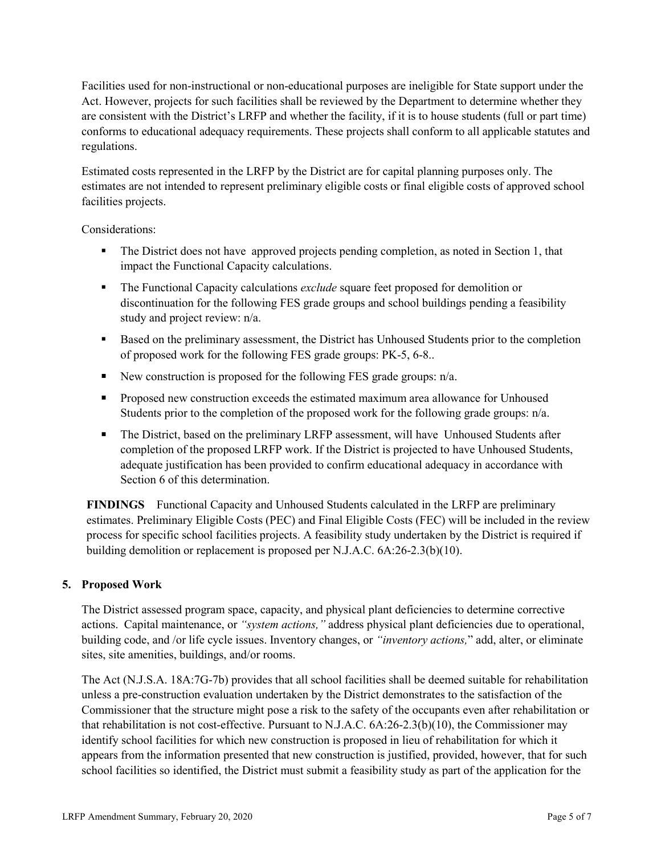Facilities used for non-instructional or non-educational purposes are ineligible for State support under the Act. However, projects for such facilities shall be reviewed by the Department to determine whether they are consistent with the District's LRFP and whether the facility, if it is to house students (full or part time) conforms to educational adequacy requirements. These projects shall conform to all applicable statutes and regulations.

Estimated costs represented in the LRFP by the District are for capital planning purposes only. The estimates are not intended to represent preliminary eligible costs or final eligible costs of approved school facilities projects.

Considerations:

- The District does not have approved projects pending completion, as noted in Section 1, that impact the Functional Capacity calculations.
- The Functional Capacity calculations *exclude* square feet proposed for demolition or discontinuation for the following FES grade groups and school buildings pending a feasibility study and project review: n/a.
- Based on the preliminary assessment, the District has Unhoused Students prior to the completion of proposed work for the following FES grade groups: PK-5, 6-8..
- New construction is proposed for the following FES grade groups:  $n/a$ .
- **Proposed new construction exceeds the estimated maximum area allowance for Unhoused** Students prior to the completion of the proposed work for the following grade groups:  $n/a$ .
- The District, based on the preliminary LRFP assessment, will have Unhoused Students after completion of the proposed LRFP work. If the District is projected to have Unhoused Students, adequate justification has been provided to confirm educational adequacy in accordance with Section 6 of this determination.

**FINDINGS** Functional Capacity and Unhoused Students calculated in the LRFP are preliminary estimates. Preliminary Eligible Costs (PEC) and Final Eligible Costs (FEC) will be included in the review process for specific school facilities projects. A feasibility study undertaken by the District is required if building demolition or replacement is proposed per N.J.A.C. 6A:26-2.3(b)(10).

# **5. Proposed Work**

The District assessed program space, capacity, and physical plant deficiencies to determine corrective actions. Capital maintenance, or *"system actions,"* address physical plant deficiencies due to operational, building code, and /or life cycle issues. Inventory changes, or *"inventory actions,*" add, alter, or eliminate sites, site amenities, buildings, and/or rooms.

The Act (N.J.S.A. 18A:7G-7b) provides that all school facilities shall be deemed suitable for rehabilitation unless a pre-construction evaluation undertaken by the District demonstrates to the satisfaction of the Commissioner that the structure might pose a risk to the safety of the occupants even after rehabilitation or that rehabilitation is not cost-effective. Pursuant to N.J.A.C. 6A:26-2.3(b)(10), the Commissioner may identify school facilities for which new construction is proposed in lieu of rehabilitation for which it appears from the information presented that new construction is justified, provided, however, that for such school facilities so identified, the District must submit a feasibility study as part of the application for the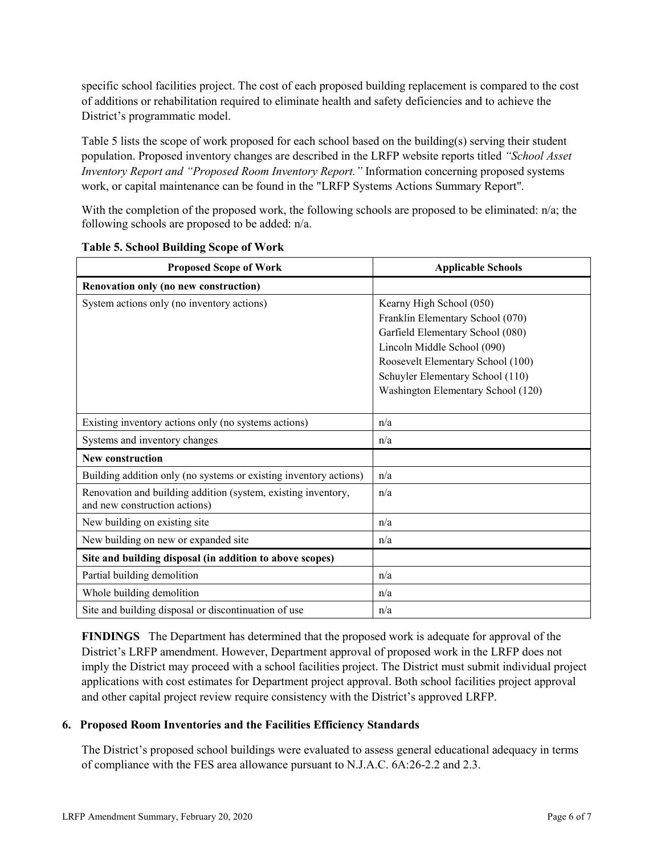specific school facilities project. The cost of each proposed building replacement is compared to the cost of additions or rehabilitation required to eliminate health and safety deficiencies and to achieve the District's programmatic model.

Table 5 lists the scope of work proposed for each school based on the building(s) serving their student population. Proposed inventory changes are described in the LRFP website reports titled *"School Asset Inventory Report and "Proposed Room Inventory Report."* Information concerning proposed systems work, or capital maintenance can be found in the "LRFP Systems Actions Summary Report".

With the completion of the proposed work, the following schools are proposed to be eliminated: n/a; the following schools are proposed to be added: n/a.

| <b>Proposed Scope of Work</b>                                                                  | <b>Applicable Schools</b>                                                                                                                                                                                                                      |
|------------------------------------------------------------------------------------------------|------------------------------------------------------------------------------------------------------------------------------------------------------------------------------------------------------------------------------------------------|
| Renovation only (no new construction)                                                          |                                                                                                                                                                                                                                                |
| System actions only (no inventory actions)                                                     | Kearny High School (050)<br>Franklin Elementary School (070)<br>Garfield Elementary School (080)<br>Lincoln Middle School (090)<br>Roosevelt Elementary School (100)<br>Schuyler Elementary School (110)<br>Washington Elementary School (120) |
| Existing inventory actions only (no systems actions)                                           | n/a                                                                                                                                                                                                                                            |
| Systems and inventory changes                                                                  | n/a                                                                                                                                                                                                                                            |
| New construction                                                                               |                                                                                                                                                                                                                                                |
| Building addition only (no systems or existing inventory actions)                              | n/a                                                                                                                                                                                                                                            |
| Renovation and building addition (system, existing inventory,<br>and new construction actions) | n/a                                                                                                                                                                                                                                            |
| New building on existing site                                                                  | n/a                                                                                                                                                                                                                                            |
| New building on new or expanded site                                                           | n/a                                                                                                                                                                                                                                            |
| Site and building disposal (in addition to above scopes)                                       |                                                                                                                                                                                                                                                |
| Partial building demolition                                                                    | n/a                                                                                                                                                                                                                                            |
| Whole building demolition                                                                      | n/a                                                                                                                                                                                                                                            |
| Site and building disposal or discontinuation of use                                           | n/a                                                                                                                                                                                                                                            |

**Table 5. School Building Scope of Work**

**FINDINGS** The Department has determined that the proposed work is adequate for approval of the District's LRFP amendment. However, Department approval of proposed work in the LRFP does not imply the District may proceed with a school facilities project. The District must submit individual project applications with cost estimates for Department project approval. Both school facilities project approval and other capital project review require consistency with the District's approved LRFP.

#### **6. Proposed Room Inventories and the Facilities Efficiency Standards**

The District's proposed school buildings were evaluated to assess general educational adequacy in terms of compliance with the FES area allowance pursuant to N.J.A.C. 6A:26-2.2 and 2.3.